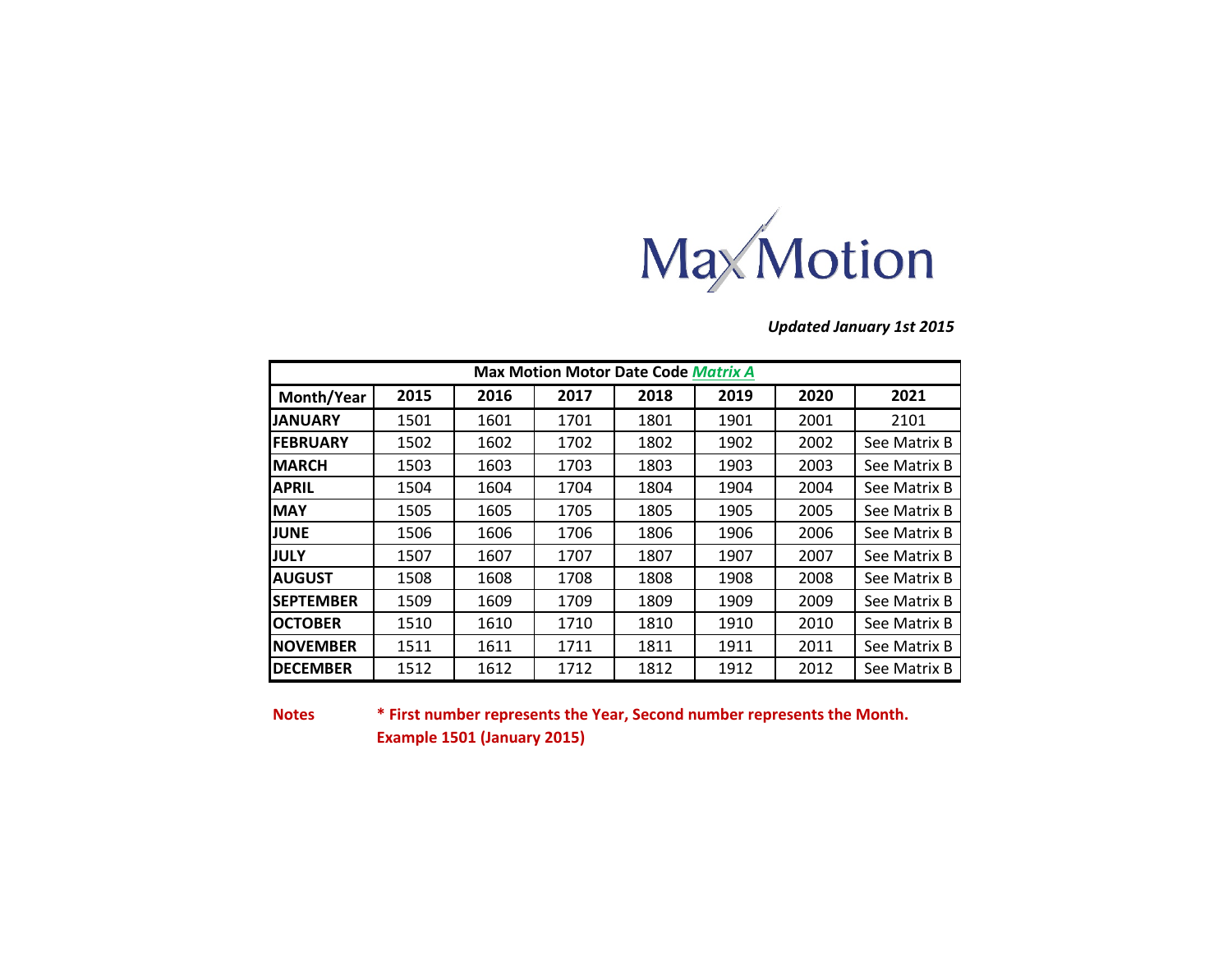

*Updated January 1st 2015*

| <b>Max Motion Motor Date Code Matrix A</b> |      |      |      |      |      |      |              |  |  |  |
|--------------------------------------------|------|------|------|------|------|------|--------------|--|--|--|
| Month/Year                                 | 2015 | 2016 | 2017 | 2018 | 2019 | 2020 | 2021         |  |  |  |
| <b>IJANUARY</b>                            | 1501 | 1601 | 1701 | 1801 | 1901 | 2001 | 2101         |  |  |  |
| <b>IFEBRUARY</b>                           | 1502 | 1602 | 1702 | 1802 | 1902 | 2002 | See Matrix B |  |  |  |
| <b>IMARCH</b>                              | 1503 | 1603 | 1703 | 1803 | 1903 | 2003 | See Matrix B |  |  |  |
| <b>APRIL</b>                               | 1504 | 1604 | 1704 | 1804 | 1904 | 2004 | See Matrix B |  |  |  |
| <b>MAY</b>                                 | 1505 | 1605 | 1705 | 1805 | 1905 | 2005 | See Matrix B |  |  |  |
| <b>JUNE</b>                                | 1506 | 1606 | 1706 | 1806 | 1906 | 2006 | See Matrix B |  |  |  |
| <b>JULY</b>                                | 1507 | 1607 | 1707 | 1807 | 1907 | 2007 | See Matrix B |  |  |  |
| <b>AUGUST</b>                              | 1508 | 1608 | 1708 | 1808 | 1908 | 2008 | See Matrix B |  |  |  |
| <b>SEPTEMBER</b>                           | 1509 | 1609 | 1709 | 1809 | 1909 | 2009 | See Matrix B |  |  |  |
| <b>OCTOBER</b>                             | 1510 | 1610 | 1710 | 1810 | 1910 | 2010 | See Matrix B |  |  |  |
| <b>INOVEMBER</b>                           | 1511 | 1611 | 1711 | 1811 | 1911 | 2011 | See Matrix B |  |  |  |
| IDECEMBER                                  | 1512 | 1612 | 1712 | 1812 | 1912 | 2012 | See Matrix B |  |  |  |

**Notes**

**\* First number represents the Year, Second number represents the Month. Example 1501 (January 2015)**